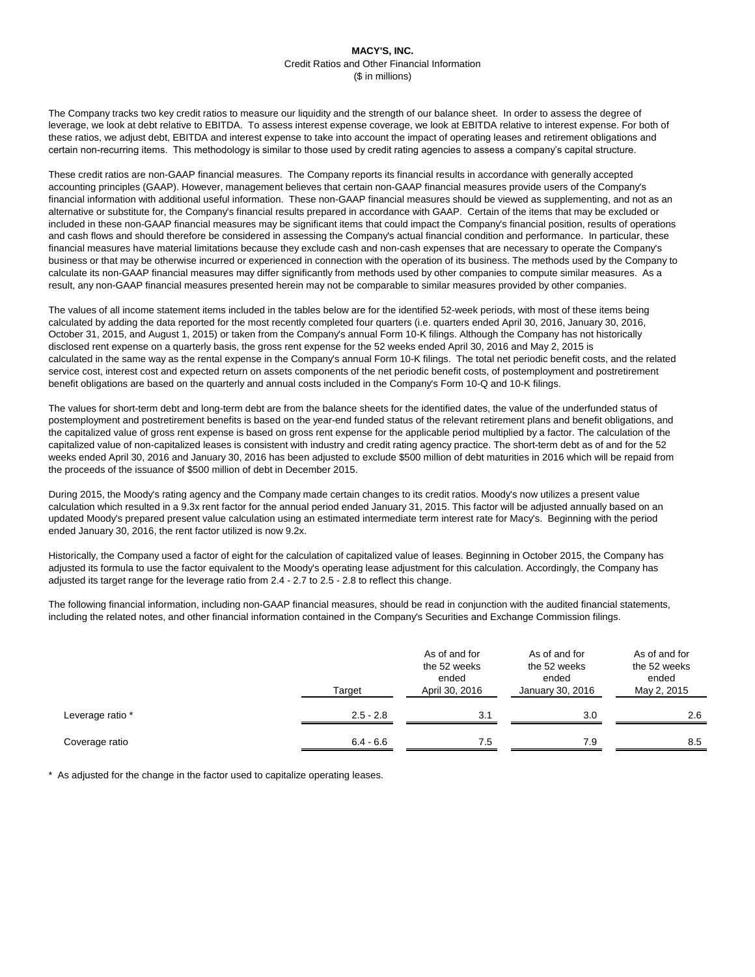The Company tracks two key credit ratios to measure our liquidity and the strength of our balance sheet. In order to assess the degree of leverage, we look at debt relative to EBITDA. To assess interest expense coverage, we look at EBITDA relative to interest expense. For both of these ratios, we adjust debt, EBITDA and interest expense to take into account the impact of operating leases and retirement obligations and certain non-recurring items. This methodology is similar to those used by credit rating agencies to assess a company's capital structure.

These credit ratios are non-GAAP financial measures. The Company reports its financial results in accordance with generally accepted accounting principles (GAAP). However, management believes that certain non-GAAP financial measures provide users of the Company's financial information with additional useful information. These non-GAAP financial measures should be viewed as supplementing, and not as an alternative or substitute for, the Company's financial results prepared in accordance with GAAP. Certain of the items that may be excluded or included in these non-GAAP financial measures may be significant items that could impact the Company's financial position, results of operations and cash flows and should therefore be considered in assessing the Company's actual financial condition and performance. In particular, these financial measures have material limitations because they exclude cash and non-cash expenses that are necessary to operate the Company's business or that may be otherwise incurred or experienced in connection with the operation of its business. The methods used by the Company to calculate its non-GAAP financial measures may differ significantly from methods used by other companies to compute similar measures. As a result, any non-GAAP financial measures presented herein may not be comparable to similar measures provided by other companies.

The values of all income statement items included in the tables below are for the identified 52-week periods, with most of these items being calculated by adding the data reported for the most recently completed four quarters (i.e. quarters ended April 30, 2016, January 30, 2016, October 31, 2015, and August 1, 2015) or taken from the Company's annual Form 10-K filings. Although the Company has not historically disclosed rent expense on a quarterly basis, the gross rent expense for the 52 weeks ended April 30, 2016 and May 2, 2015 is calculated in the same way as the rental expense in the Company's annual Form 10-K filings. The total net periodic benefit costs, and the related service cost, interest cost and expected return on assets components of the net periodic benefit costs, of postemployment and postretirement benefit obligations are based on the quarterly and annual costs included in the Company's Form 10-Q and 10-K filings.

The values for short-term debt and long-term debt are from the balance sheets for the identified dates, the value of the underfunded status of postemployment and postretirement benefits is based on the year-end funded status of the relevant retirement plans and benefit obligations, and the capitalized value of gross rent expense is based on gross rent expense for the applicable period multiplied by a factor. The calculation of the capitalized value of non-capitalized leases is consistent with industry and credit rating agency practice. The short-term debt as of and for the 52 weeks ended April 30, 2016 and January 30, 2016 has been adjusted to exclude \$500 million of debt maturities in 2016 which will be repaid from the proceeds of the issuance of \$500 million of debt in December 2015.

During 2015, the Moody's rating agency and the Company made certain changes to its credit ratios. Moody's now utilizes a present value calculation which resulted in a 9.3x rent factor for the annual period ended January 31, 2015. This factor will be adjusted annually based on an updated Moody's prepared present value calculation using an estimated intermediate term interest rate for Macy's. Beginning with the period ended January 30, 2016, the rent factor utilized is now 9.2x.

Historically, the Company used a factor of eight for the calculation of capitalized value of leases. Beginning in October 2015, the Company has adjusted its formula to use the factor equivalent to the Moody's operating lease adjustment for this calculation. Accordingly, the Company has adjusted its target range for the leverage ratio from 2.4 - 2.7 to 2.5 - 2.8 to reflect this change.

The following financial information, including non-GAAP financial measures, should be read in conjunction with the audited financial statements, including the related notes, and other financial information contained in the Company's Securities and Exchange Commission filings.

|                  | Target      | As of and for<br>the 52 weeks<br>ended<br>April 30, 2016 | As of and for<br>the 52 weeks<br>ended<br>January 30, 2016 | As of and for<br>the 52 weeks<br>ended<br>May 2, 2015 |  |
|------------------|-------------|----------------------------------------------------------|------------------------------------------------------------|-------------------------------------------------------|--|
| Leverage ratio * | $2.5 - 2.8$ | 3.1                                                      | 3.0                                                        | 2.6                                                   |  |
| Coverage ratio   | $6.4 - 6.6$ | 7.5                                                      | 7.9                                                        | 8.5                                                   |  |

\* As adjusted for the change in the factor used to capitalize operating leases.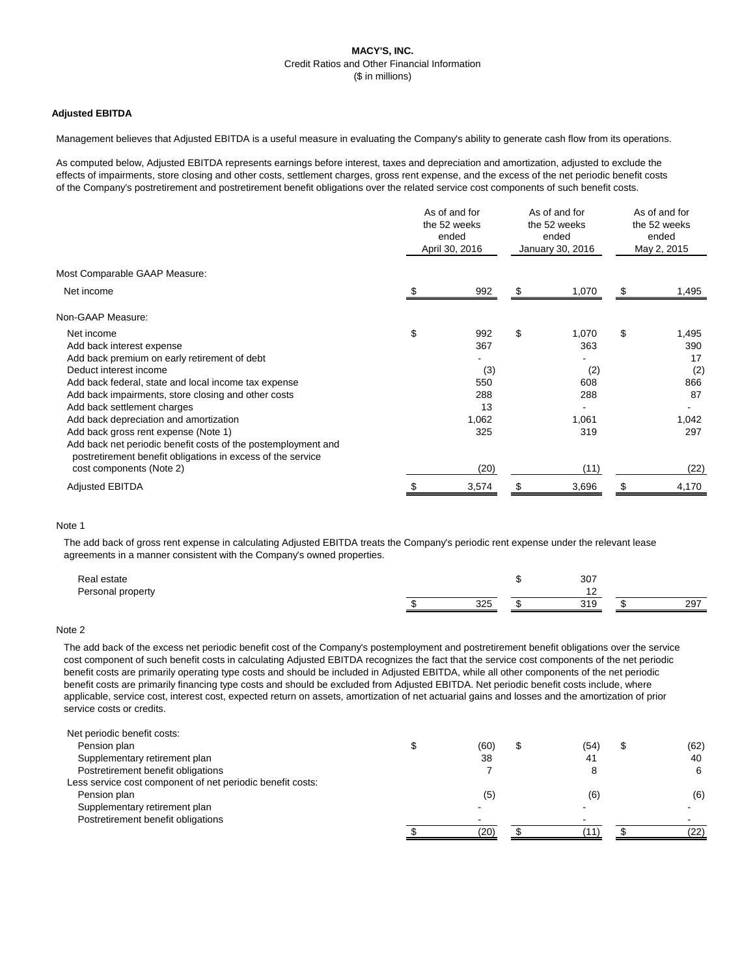# **Adjusted EBITDA**

Management believes that Adjusted EBITDA is a useful measure in evaluating the Company's ability to generate cash flow from its operations.

As computed below, Adjusted EBITDA represents earnings before interest, taxes and depreciation and amortization, adjusted to exclude the effects of impairments, store closing and other costs, settlement charges, gross rent expense, and the excess of the net periodic benefit costs of the Company's postretirement and postretirement benefit obligations over the related service cost components of such benefit costs.

| Most Comparable GAAP Measure:                                                                                                |       |
|------------------------------------------------------------------------------------------------------------------------------|-------|
| Net income<br>992<br>1,070<br>\$<br>\$                                                                                       | 1,495 |
| Non-GAAP Measure:                                                                                                            |       |
| \$<br>\$<br>Net income<br>992<br>\$<br>1,070                                                                                 | 1,495 |
| 367<br>363<br>Add back interest expense                                                                                      | 390   |
| Add back premium on early retirement of debt                                                                                 | 17    |
| Deduct interest income<br>(3)<br>(2)                                                                                         | (2)   |
| 608<br>Add back federal, state and local income tax expense<br>550                                                           | 866   |
| Add back impairments, store closing and other costs<br>288<br>288                                                            | 87    |
| Add back settlement charges<br>13                                                                                            |       |
| Add back depreciation and amortization<br>1,062<br>1,061                                                                     | 1,042 |
| 325<br>319<br>Add back gross rent expense (Note 1)                                                                           | 297   |
| Add back net periodic benefit costs of the postemployment and<br>postretirement benefit obligations in excess of the service |       |
| cost components (Note 2)<br>(20)<br>(11)                                                                                     | (22)  |
| <b>Adjusted EBITDA</b><br>3,574<br>3,696                                                                                     | 4,170 |

#### Note 1

The add back of gross rent expense in calculating Adjusted EBITDA treats the Company's periodic rent expense under the relevant lease agreements in a manner consistent with the Company's owned properties.

| Real estate       |             | 307               |           |
|-------------------|-------------|-------------------|-----------|
| Personal property |             | . .               |           |
|                   | つつに<br>ں ےں | 310<br><b>UIV</b> | 207<br>∼∸ |

#### Note 2

The add back of the excess net periodic benefit cost of the Company's postemployment and postretirement benefit obligations over the service cost component of such benefit costs in calculating Adjusted EBITDA recognizes the fact that the service cost components of the net periodic benefit costs are primarily operating type costs and should be included in Adjusted EBITDA, while all other components of the net periodic benefit costs are primarily financing type costs and should be excluded from Adjusted EBITDA. Net periodic benefit costs include, where applicable, service cost, interest cost, expected return on assets, amortization of net actuarial gains and losses and the amortization of prior service costs or credits.

| Net periodic benefit costs:                                |      |      |      |
|------------------------------------------------------------|------|------|------|
| Pension plan                                               | (60) | (54) | (62) |
| Supplementary retirement plan                              | 38   | 41   | 40   |
| Postretirement benefit obligations                         |      |      | 6    |
| Less service cost component of net periodic benefit costs: |      |      |      |
| Pension plan                                               | (5)  | (6)  | (6)  |
| Supplementary retirement plan                              |      |      |      |
| Postretirement benefit obligations                         |      |      |      |
|                                                            | (20) |      | (22) |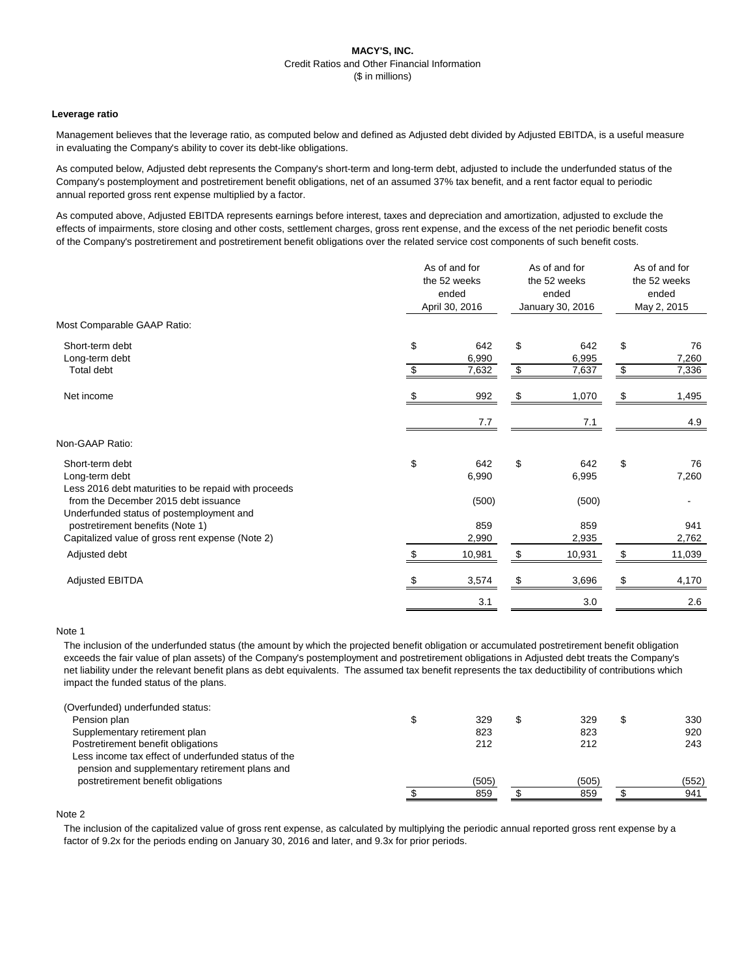### **Leverage ratio**

Management believes that the leverage ratio, as computed below and defined as Adjusted debt divided by Adjusted EBITDA, is a useful measure in evaluating the Company's ability to cover its debt-like obligations.

As computed below, Adjusted debt represents the Company's short-term and long-term debt, adjusted to include the underfunded status of the Company's postemployment and postretirement benefit obligations, net of an assumed 37% tax benefit, and a rent factor equal to periodic annual reported gross rent expense multiplied by a factor.

As computed above, Adjusted EBITDA represents earnings before interest, taxes and depreciation and amortization, adjusted to exclude the effects of impairments, store closing and other costs, settlement charges, gross rent expense, and the excess of the net periodic benefit costs of the Company's postretirement and postretirement benefit obligations over the related service cost components of such benefit costs.

|                                                                                           |              | As of and for<br>the 52 weeks<br>ended<br>April 30, 2016 |    | As of and for<br>the 52 weeks<br>ended<br>January 30, 2016 |                           | As of and for<br>the 52 weeks<br>ended<br>May 2, 2015 |  |
|-------------------------------------------------------------------------------------------|--------------|----------------------------------------------------------|----|------------------------------------------------------------|---------------------------|-------------------------------------------------------|--|
| Most Comparable GAAP Ratio:                                                               |              |                                                          |    |                                                            |                           |                                                       |  |
| Short-term debt<br>Long-term debt                                                         | \$           | 642<br>6,990                                             | \$ | 642<br>6,995                                               | \$                        | 76<br>7,260                                           |  |
| Total debt                                                                                | \$           | 7,632                                                    | \$ | 7,637                                                      | $\frac{1}{2}$             | 7,336                                                 |  |
| Net income                                                                                | <sup>2</sup> | 992                                                      | \$ | 1,070                                                      | \$                        | 1,495                                                 |  |
|                                                                                           |              | 7.7                                                      |    | 7.1                                                        |                           | 4.9                                                   |  |
| Non-GAAP Ratio:                                                                           |              |                                                          |    |                                                            |                           |                                                       |  |
| Short-term debt<br>Long-term debt<br>Less 2016 debt maturities to be repaid with proceeds | \$           | 642<br>6,990                                             | \$ | 642<br>6,995                                               | $\$\$                     | 76<br>7,260                                           |  |
| from the December 2015 debt issuance<br>Underfunded status of postemployment and          |              | (500)                                                    |    | (500)                                                      |                           |                                                       |  |
| postretirement benefits (Note 1)<br>Capitalized value of gross rent expense (Note 2)      |              | 859<br>2,990                                             |    | 859<br>2,935                                               |                           | 941<br>2,762                                          |  |
| Adjusted debt                                                                             | \$           | 10,981                                                   | \$ | 10,931                                                     | $\boldsymbol{\mathsf{S}}$ | 11,039                                                |  |
| <b>Adjusted EBITDA</b>                                                                    |              | 3,574                                                    |    | 3,696                                                      | \$                        | 4,170                                                 |  |
|                                                                                           |              | 3.1                                                      |    | 3.0                                                        |                           | 2.6                                                   |  |
|                                                                                           |              |                                                          |    |                                                            |                           |                                                       |  |

#### Note 1

The inclusion of the underfunded status (the amount by which the projected benefit obligation or accumulated postretirement benefit obligation exceeds the fair value of plan assets) of the Company's postemployment and postretirement obligations in Adjusted debt treats the Company's net liability under the relevant benefit plans as debt equivalents. The assumed tax benefit represents the tax deductibility of contributions which impact the funded status of the plans.

| (Overfunded) underfunded status:                    |       |       |       |
|-----------------------------------------------------|-------|-------|-------|
| Pension plan                                        | 329   | 329   | 330   |
| Supplementary retirement plan                       | 823   | 823   | 920   |
| Postretirement benefit obligations                  | 212   | 212   | 243   |
| Less income tax effect of underfunded status of the |       |       |       |
| pension and supplementary retirement plans and      |       |       |       |
| postretirement benefit obligations                  | (505) | (505) | (552) |
|                                                     | 859   | 859   | 941   |
|                                                     |       |       |       |

# Note 2

The inclusion of the capitalized value of gross rent expense, as calculated by multiplying the periodic annual reported gross rent expense by a factor of 9.2x for the periods ending on January 30, 2016 and later, and 9.3x for prior periods.